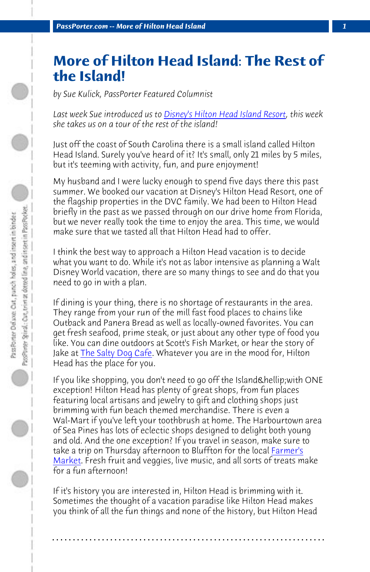*PassPorter.com -- More of Hilton Head Island 1*

## **More of Hilton Head Island: The Rest of the Island!**

*by Sue Kulick, PassPorter Featured Columnist*

*Last week Sue introduced us to Disney's Hilton Head Island Resort, this week she takes us on a tour of the rest of the island!*

Just off the coast of South Carolina there is a small island called Hilton Head Island. Surely you've heard of it? It's small, only 21 miles by 5 miles, but it's teeming with activity, fun, and pure enjoyment!

My hu[sband and I were luc](http://www.saltydog.com/)ky enough to spend five days there this past summer. We booked our vacation at Disney's Hilton Head Resort, one of the flagship properties in the DVC family. We had been to Hilton Head briefly in the past as we passed through on our drive home from Florida, but we never really took the time to enjoy the area. This time, we would make sure that we tasted all that Hilton Head had to offer.

I think the best way to approach a Hilton Head vacation is to decide what you want to do. While it's not as labor intensive as planning a Walt Disney World vacation, there are so many things to see and do that you need to go in with a plan.

If dining is your thing, there is no shortage of restaurants in the area. They range from your run of the mill fast food places to chains like Outback and Panera Bread as well as locally-owned favorites. You can get fresh seafood, prime steak, or just about any other type of food you like. You can dine outdoors at Scott's Fish Market, or hear the story of Jake at The Salty Dog Cafe. Whatever you are in the mood for, Hilton Head has the place for you.

If you like shopping, you don't need to go off the Island & hellip; with ONE exception! Hilton Head has plenty of great shops, from fun places featuring local artisans and jewelry to gift and clothing shops just brimming with fun beach themed merchandise. There is even a Wal-Mart if you've left your toothbrush at home. The Harbourtown area of Sea Pines has lots of eclectic shops designed to delight both young and old. And the one exception? If you travel in season, make sure to take a trip on Thursday afternoon to Bluffton for the local Farmer's Market. Fresh fruit and veggies, live music, and all sorts of treats make for a fun afternoon!

If it's history you are interested in, Hilton Head is brimming with it. Sometimes the thought of a vacation paradise like Hilton Head makes you think of all the fun things and none of the history, but Hilton Head

**. . . . . . . . . . . . . . . . . . . . . . . . . . . . . . . . . . . . . . . . . . . . . . . . . . . . . . . . . . . . . . . . . .**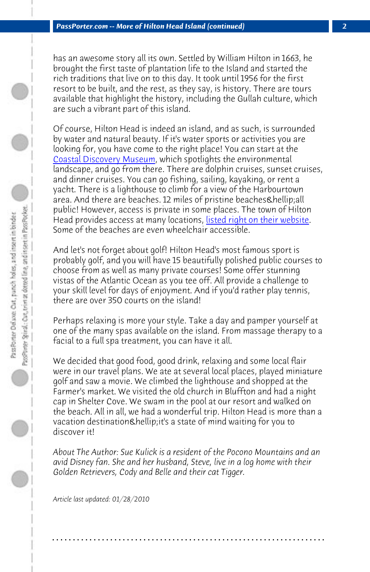*PassPorter.com -- More of Hilton Head Island (continued) 2*

has an awesome story all its own. Settled [by William Hilton in 1663, he](http://www.hiltonheadislandsc.gov/island/beaches.cfm) brought the first taste of plantation life to the Island and started the rich traditions that live on to this day. It took until 1956 for the first resort to be built, and the rest, as they say, is history. There are tours available that highlight the history, including the Gullah culture, which are such a vibrant part of this island.

Of course, Hilton Head is indeed an island, and as such, is surrounded by water and natural beauty. If it's water sports or activities you are looking for, you have come to the right place! You can start at the Coastal Discovery Museum, which spotlights the environmental landscape, and go from there. There are dolphin cruises, sunset cruises, and dinner cruises. You can go fishing, sailing, kayaking, or rent a yacht. There is a lighthouse to climb for a view of the Harbourtown area. And there are beaches. 12 miles of pristine beaches & hellip;all public! However, access is private in some places. The town of Hilton Head provides access at many locations, listed right on their website. Some of the beaches are even wheelchair accessible.

And let's not forget about golf! Hilton Head's most famous sport is probably golf, and you will have 15 beautifully polished public courses to choose from as well as many private courses! Some offer stunning vistas of the Atlantic Ocean as you tee off. All provide a challenge to your skill level for days of enjoyment. And if you'd rather play tennis, there are over 350 courts on the island!

Perhaps relaxing is more your style. Take a day and pamper yourself at one of the many spas available on the island. From massage therapy to a facial to a full spa treatment, you can have it all.

We decided that good food, good drink, relaxing and some local flair were in our travel plans. We ate at several local places, played miniature golf and saw a movie. We climbed the lighthouse and shopped at the Farmer's market. We visited the old church in Bluffton and had a night cap in Shelter Cove. We swam in the pool at our resort and walked on the beach. All in all, we had a wonderful trip. Hilton Head is more than a vacation destination…it's a state of mind waiting for you to discover it!

*About The Author: Sue Kulick is a resident of the Pocono Mountains and an avid Disney fan. She and her husband, Steve, live in a log home with their Golden Retrievers, Cody and Belle and their cat Tigger.*

**. . . . . . . . . . . . . . . . . . . . . . . . . . . . . . . . . . . . . . . . . . . . . . . . . . . . . . . . . . . . . . . . . .**

*Article last updated: 01/28/2010*